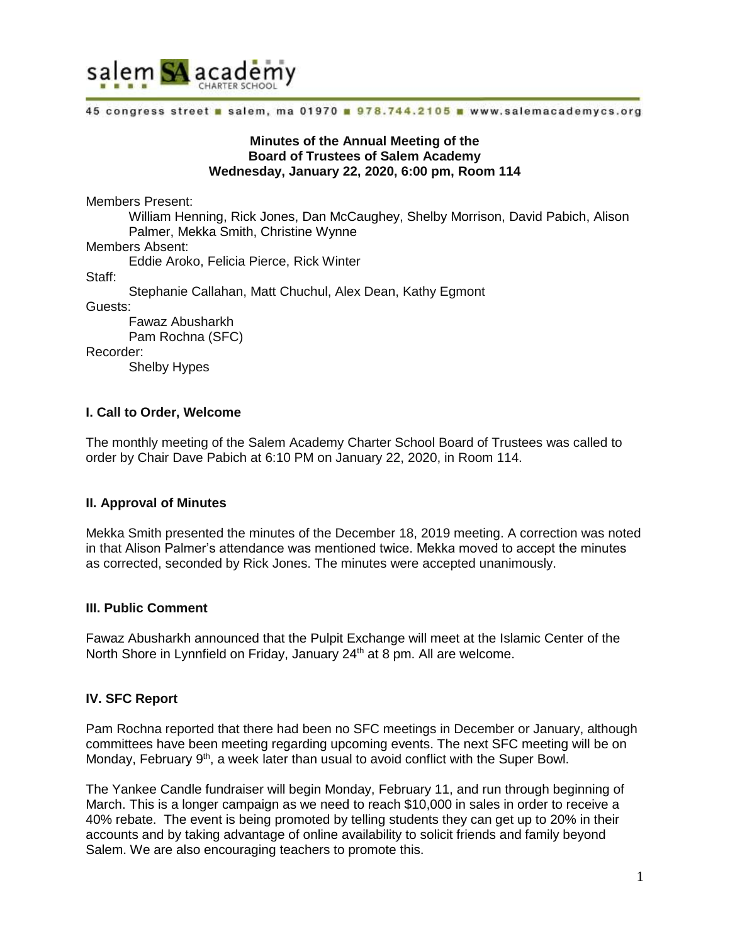

45 congress street a salem, ma 01970 a 978.744.2105 a www.salemacademycs.org

#### **Minutes of the Annual Meeting of the Board of Trustees of Salem Academy Wednesday, January 22, 2020, 6:00 pm, Room 114**

Members Present:

William Henning, Rick Jones, Dan McCaughey, Shelby Morrison, David Pabich, Alison Palmer, Mekka Smith, Christine Wynne Members Absent:

Eddie Aroko, Felicia Pierce, Rick Winter

Staff:

Stephanie Callahan, Matt Chuchul, Alex Dean, Kathy Egmont

Guests:

Fawaz Abusharkh Pam Rochna (SFC) Recorder:

Shelby Hypes

#### **I. Call to Order, Welcome**

The monthly meeting of the Salem Academy Charter School Board of Trustees was called to order by Chair Dave Pabich at 6:10 PM on January 22, 2020, in Room 114.

#### **II. Approval of Minutes**

Mekka Smith presented the minutes of the December 18, 2019 meeting. A correction was noted in that Alison Palmer's attendance was mentioned twice. Mekka moved to accept the minutes as corrected, seconded by Rick Jones. The minutes were accepted unanimously.

#### **III. Public Comment**

Fawaz Abusharkh announced that the Pulpit Exchange will meet at the Islamic Center of the North Shore in Lynnfield on Friday, January 24<sup>th</sup> at 8 pm. All are welcome.

# **IV. SFC Report**

Pam Rochna reported that there had been no SFC meetings in December or January, although committees have been meeting regarding upcoming events. The next SFC meeting will be on Monday, February 9<sup>th</sup>, a week later than usual to avoid conflict with the Super Bowl.

The Yankee Candle fundraiser will begin Monday, February 11, and run through beginning of March. This is a longer campaign as we need to reach \$10,000 in sales in order to receive a 40% rebate. The event is being promoted by telling students they can get up to 20% in their accounts and by taking advantage of online availability to solicit friends and family beyond Salem. We are also encouraging teachers to promote this.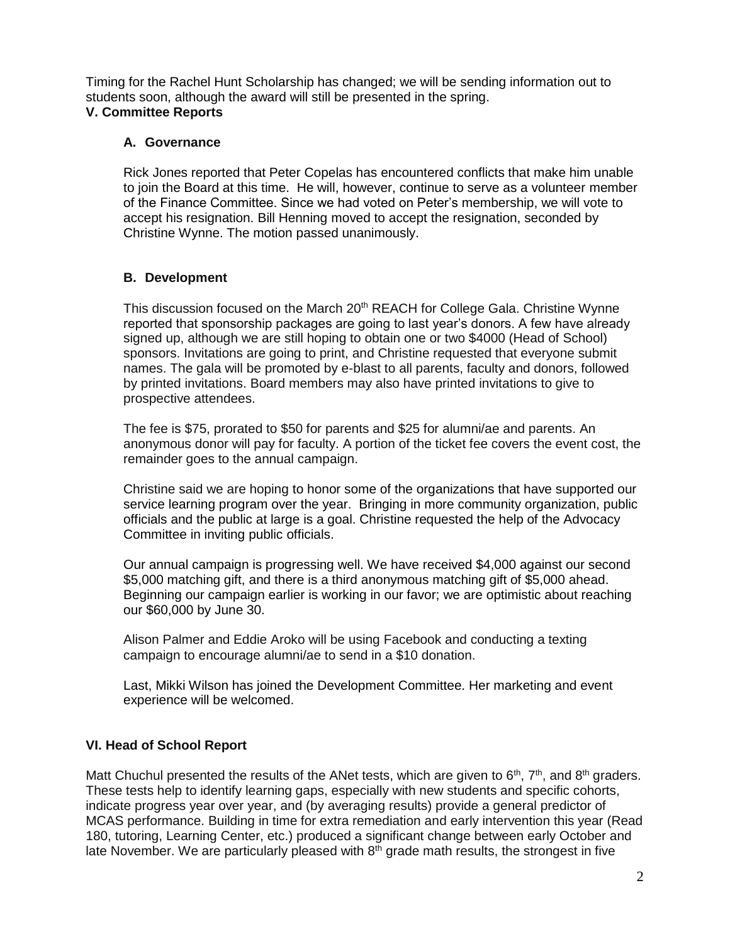Timing for the Rachel Hunt Scholarship has changed; we will be sending information out to students soon, although the award will still be presented in the spring. **V. Committee Reports**

### **A. Governance**

Rick Jones reported that Peter Copelas has encountered conflicts that make him unable to join the Board at this time. He will, however, continue to serve as a volunteer member of the Finance Committee. Since we had voted on Peter's membership, we will vote to accept his resignation. Bill Henning moved to accept the resignation, seconded by Christine Wynne. The motion passed unanimously.

# **B. Development**

This discussion focused on the March 20<sup>th</sup> REACH for College Gala. Christine Wynne reported that sponsorship packages are going to last year's donors. A few have already signed up, although we are still hoping to obtain one or two \$4000 (Head of School) sponsors. Invitations are going to print, and Christine requested that everyone submit names. The gala will be promoted by e-blast to all parents, faculty and donors, followed by printed invitations. Board members may also have printed invitations to give to prospective attendees.

The fee is \$75, prorated to \$50 for parents and \$25 for alumni/ae and parents. An anonymous donor will pay for faculty. A portion of the ticket fee covers the event cost, the remainder goes to the annual campaign.

Christine said we are hoping to honor some of the organizations that have supported our service learning program over the year. Bringing in more community organization, public officials and the public at large is a goal. Christine requested the help of the Advocacy Committee in inviting public officials.

Our annual campaign is progressing well. We have received \$4,000 against our second \$5,000 matching gift, and there is a third anonymous matching gift of \$5,000 ahead. Beginning our campaign earlier is working in our favor; we are optimistic about reaching our \$60,000 by June 30.

Alison Palmer and Eddie Aroko will be using Facebook and conducting a texting campaign to encourage alumni/ae to send in a \$10 donation.

Last, Mikki Wilson has joined the Development Committee. Her marketing and event experience will be welcomed.

# **VI. Head of School Report**

Matt Chuchul presented the results of the ANet tests, which are given to  $6<sup>th</sup>$ ,  $7<sup>th</sup>$ , and  $8<sup>th</sup>$  graders. These tests help to identify learning gaps, especially with new students and specific cohorts, indicate progress year over year, and (by averaging results) provide a general predictor of MCAS performance. Building in time for extra remediation and early intervention this year (Read 180, tutoring, Learning Center, etc.) produced a significant change between early October and late November. We are particularly pleased with  $8<sup>th</sup>$  grade math results, the strongest in five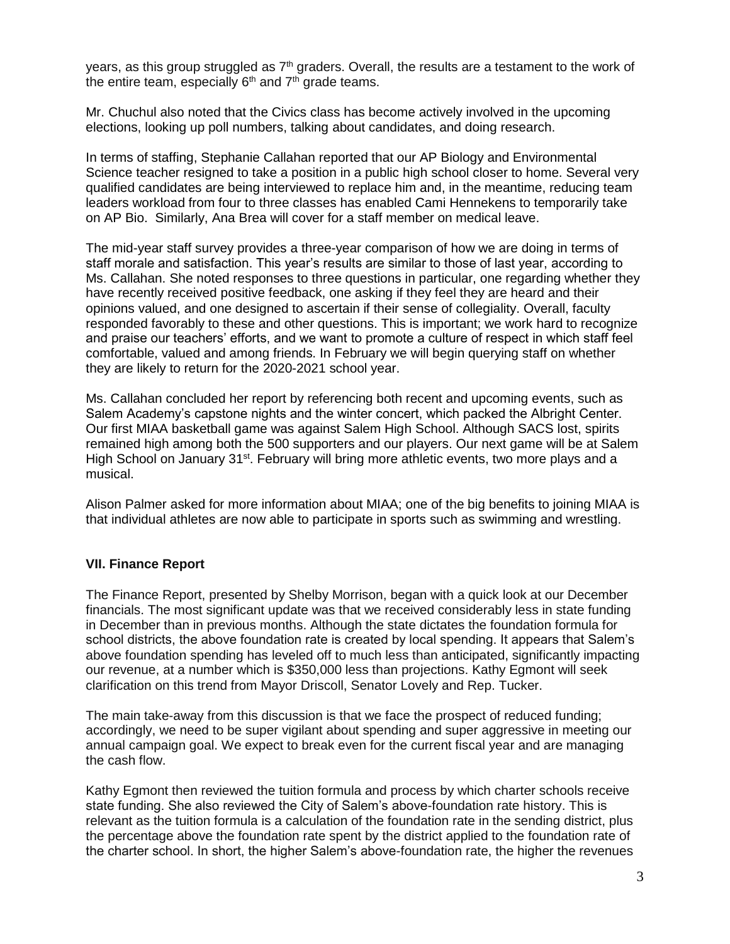years, as this group struggled as  $7<sup>th</sup>$  graders. Overall, the results are a testament to the work of the entire team, especially  $6<sup>th</sup>$  and  $7<sup>th</sup>$  grade teams.

Mr. Chuchul also noted that the Civics class has become actively involved in the upcoming elections, looking up poll numbers, talking about candidates, and doing research.

In terms of staffing, Stephanie Callahan reported that our AP Biology and Environmental Science teacher resigned to take a position in a public high school closer to home. Several very qualified candidates are being interviewed to replace him and, in the meantime, reducing team leaders workload from four to three classes has enabled Cami Hennekens to temporarily take on AP Bio. Similarly, Ana Brea will cover for a staff member on medical leave.

The mid-year staff survey provides a three-year comparison of how we are doing in terms of staff morale and satisfaction. This year's results are similar to those of last year, according to Ms. Callahan. She noted responses to three questions in particular, one regarding whether they have recently received positive feedback, one asking if they feel they are heard and their opinions valued, and one designed to ascertain if their sense of collegiality. Overall, faculty responded favorably to these and other questions. This is important; we work hard to recognize and praise our teachers' efforts, and we want to promote a culture of respect in which staff feel comfortable, valued and among friends. In February we will begin querying staff on whether they are likely to return for the 2020-2021 school year.

Ms. Callahan concluded her report by referencing both recent and upcoming events, such as Salem Academy's capstone nights and the winter concert, which packed the Albright Center. Our first MIAA basketball game was against Salem High School. Although SACS lost, spirits remained high among both the 500 supporters and our players. Our next game will be at Salem High School on January 31<sup>st</sup>. February will bring more athletic events, two more plays and a musical.

Alison Palmer asked for more information about MIAA; one of the big benefits to joining MIAA is that individual athletes are now able to participate in sports such as swimming and wrestling.

#### **VII. Finance Report**

The Finance Report, presented by Shelby Morrison, began with a quick look at our December financials. The most significant update was that we received considerably less in state funding in December than in previous months. Although the state dictates the foundation formula for school districts, the above foundation rate is created by local spending. It appears that Salem's above foundation spending has leveled off to much less than anticipated, significantly impacting our revenue, at a number which is \$350,000 less than projections. Kathy Egmont will seek clarification on this trend from Mayor Driscoll, Senator Lovely and Rep. Tucker.

The main take-away from this discussion is that we face the prospect of reduced funding; accordingly, we need to be super vigilant about spending and super aggressive in meeting our annual campaign goal. We expect to break even for the current fiscal year and are managing the cash flow.

Kathy Egmont then reviewed the tuition formula and process by which charter schools receive state funding. She also reviewed the City of Salem's above-foundation rate history. This is relevant as the tuition formula is a calculation of the foundation rate in the sending district, plus the percentage above the foundation rate spent by the district applied to the foundation rate of the charter school. In short, the higher Salem's above-foundation rate, the higher the revenues